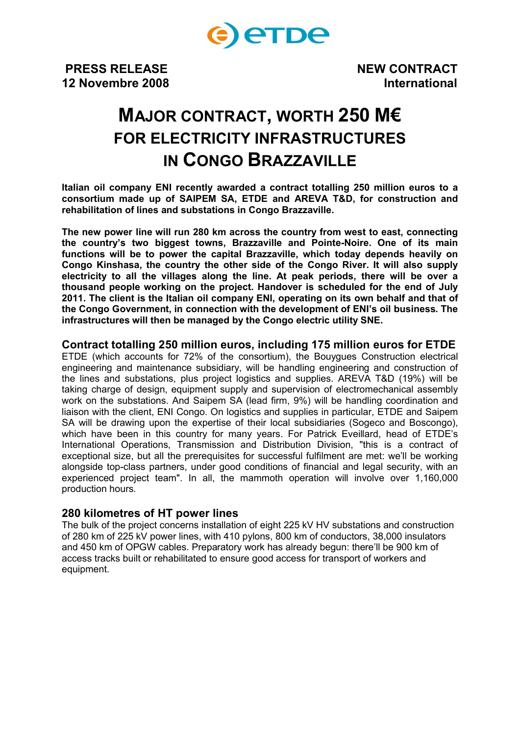

**PRESS RELEASE NEW CONTRACT 12 Novembre 2008 International**

# **MAJOR CONTRACT, WORTH 250 M€ FOR ELECTRICITY INFRASTRUCTURES IN CONGO BRAZZAVILLE**

**Italian oil company ENI recently awarded a contract totalling 250 million euros to a consortium made up of SAIPEM SA, ETDE and AREVA T&D, for construction and rehabilitation of lines and substations in Congo Brazzaville.**

**The new power line will run 280 km across the country from west to east, connecting the country's two biggest towns, Brazzaville and Pointe-Noire. One of its main functions will be to power the capital Brazzaville, which today depends heavily on Congo Kinshasa, the country the other side of the Congo River. It will also supply electricity to all the villages along the line. At peak periods, there will be over a thousand people working on the project. Handover is scheduled for the end of July 2011. The client is the Italian oil company ENI, operating on its own behalf and that of the Congo Government, in connection with the development of ENI's oil business. The infrastructures will then be managed by the Congo electric utility SNE.**

## **Contract totalling 250 million euros, including 175 million euros for ETDE**

ETDE (which accounts for 72% of the consortium), the Bouygues Construction electrical engineering and maintenance subsidiary, will be handling engineering and construction of the lines and substations, plus project logistics and supplies. AREVA T&D (19%) will be taking charge of design, equipment supply and supervision of electromechanical assembly work on the substations. And Saipem SA (lead firm, 9%) will be handling coordination and liaison with the client, ENI Congo. On logistics and supplies in particular, ETDE and Saipem SA will be drawing upon the expertise of their local subsidiaries (Sogeco and Boscongo), which have been in this country for many years. For Patrick Eveillard, head of ETDE's International Operations, Transmission and Distribution Division, "this is a contract of exceptional size, but all the prerequisites for successful fulfilment are met: we'll be working alongside top-class partners, under good conditions of financial and legal security, with an experienced project team". In all, the mammoth operation will involve over 1,160,000 production hours.

## **280 kilometres of HT power lines**

The bulk of the project concerns installation of eight 225 kV HV substations and construction of 280 km of 225 kV power lines, with 410 pylons, 800 km of conductors, 38,000 insulators and 450 km of OPGW cables. Preparatory work has already begun: there'll be 900 km of access tracks built or rehabilitated to ensure good access for transport of workers and equipment.